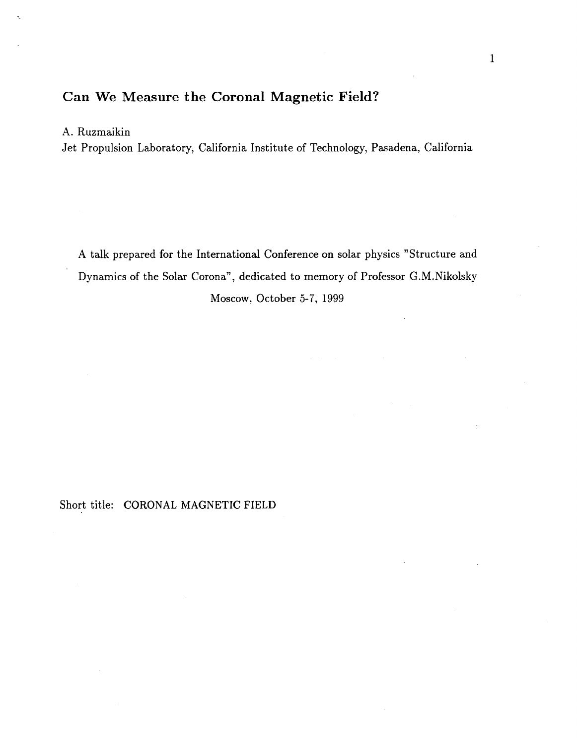# **Can We Measure the Coronal Magnetic Field?**

### **A.** Ruzmaikin

Jet Propulsion Laboratory, California Institute of Technology, Pasadena, California

**A** talk prepared for the International Conference on solar physics "Structure and Dynamics of the Solar Corona", dedicated to memory of Professor G.M.Nikolsky Moscow, October 5-7, 1999

#### Short title: CORONAL MAGNETIC FIELD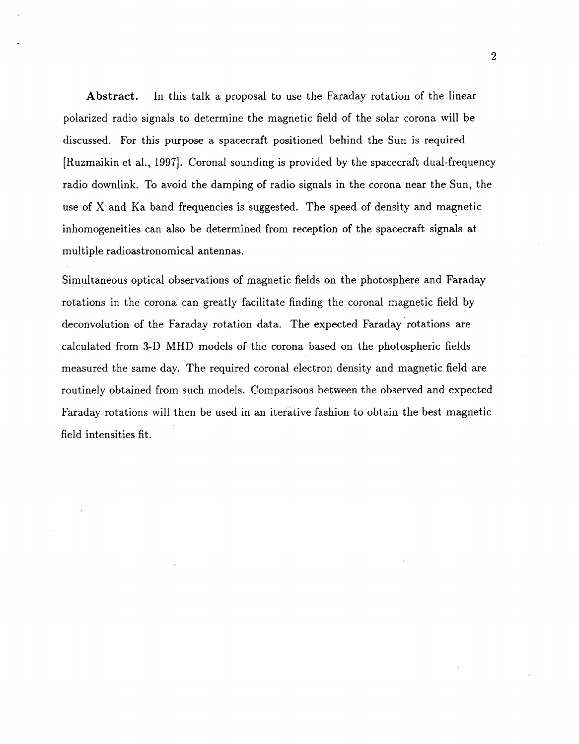**Abstract.** In this talk a proposal to use the Faraday rotation of the linear polarized radio signals to determine the magnetic field of the solar corona will be discussed. For this purpose a spacecraft positioned behind the Sun is required [Ruzmaikin et al., 1997]. Coronal sounding is provided by the spacecraft dual-frequency radio downlink. To avoid the damping of radio signals in the corona near the Sun, the use of X and Ka band frequencies is suggested. The speed of density and magnetic inhomogeneities can also be determined from reception of the spacecraft signals at multiple radioastronomical antennas.

Simultaneous optical observations of magnetic fields on the photosphere and Faraday rotations in the corona can greatly facilitate finding the coronal magnetic field by deconvolution of the Faraday rotation data. The expected Faraday rotations are calculated from **3-D** MHD models of the corona based on the photospheric fields measured the same day. The required coronal electron density and magnetic field are routinely obtained from such models. Comparisons between the observed and expected Faraday rotations will then be used in an iterative fashion to obtain the best magnetic field intensities fit.

**2**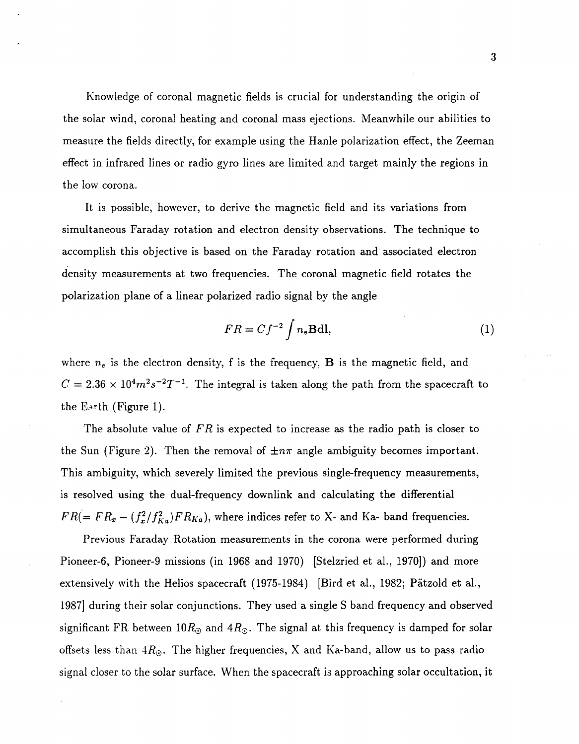Knowledge of coronal magnetic fields is crucial for understanding the origin of the solar wind, coronal heating and coronal mass ejections. Meanwhile our abilities to measure the fields directly, for example using the Hanle polarization effect, the Zeeman effect in infrared lines or radio gyro lines are limited and target mainly the regions in the low corona.

It is possible, however, to derive the magnetic field and its variations from simultaneous Faraday rotation and electron density observations. The technique to accomplish this objective is based on the Faraday rotation and associated electron density measurements at two frequencies. The coronal magnetic field rotates the polarization plane of a linear polarized radio signal by the angle

$$
FR = Cf^{-2} \int n_e \mathbf{B} \mathrm{d}\mathbf{l},\tag{1}
$$

where *ne* is the electron density, f is the frequency, **B** is the magnetic field, and  $C = 2.36 \times 10^4 m^2 s^{-2} T^{-1}$ . The integral is taken along the path from the spacecraft to the E.arth (Figure 1).

The absolute value of *FR* is expected to increase as the radio path is closer to the Sun (Figure 2). Then the removal of  $\pm n\pi$  angle ambiguity becomes important. This ambiguity, which severely limited the previous single-frequency measurements, is resolved using the dual-frequency downlink and calculating the differential  $FR(= FR_x - (f_x^2/f_{Ka}^2)FR_{Ka})$ , where indices refer to X- and Ka- band frequencies.

Previous Faraday Rotation measurements in the corona were performed during Pioneer-6, Pioneer-9 missions (in 1968 and 1970) [Stelzried et al., 1970]) and more extensively with the Helios spacecraft (1975-1984) [Bird et al., 1982; Pätzold et al., 19871 during their solar conjunctions. They used a single S band frequency and observed significant FR between  $10R_{\odot}$  and  $4R_{\odot}$ . The signal at this frequency is damped for solar offsets less than *4Ro.* The higher frequencies, X and Ka-band, allow us to pass radio signal closer to the solar surface. When the spacecraft is approaching solar occultation, it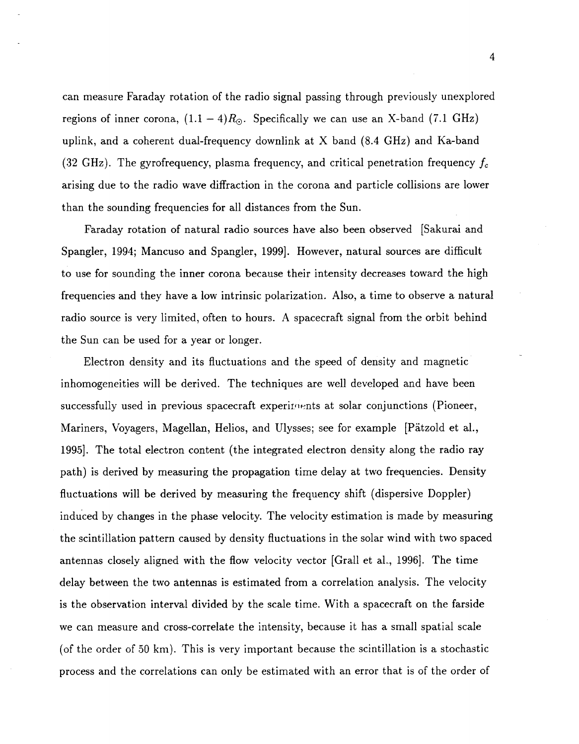can measure Faraday rotation of the radio signal passing through previously unexplored regions of inner corona,  $(1.1 - 4)R_{\odot}$ . Specifically we can use an X-band (7.1 GHz) uplink, and a coherent dual-frequency downlink at X band (8.4 GHz) and Ka-band **(32** GHz). The gyrofrequency, plasma frequency, and critical penetration frequency *fc*  arising due to the radio wave diffraction in the corona and particle collisions are lower than the sounding frequencies for all distances from the Sun.

Faraday rotation of natural radio sources have also been observed [Sakurai and Spangler, 1994; Mancuso and Spangler, 1999]. However, natural sources are difficult to use for sounding the inner corona because their intensity decreases toward the high frequencies and they have a low intrinsic polarization. Also, a time to observe a natural radio source is very limited, often to hours. A spacecraft signal from the orbit behind the Sun can be used for a year or longer.

Electron density and its fluctuations and the speed of density and magnetic inhomogeneities will be derived. The techniques are well developed and have been successfully used in previous spacecraft experiments at solar conjunctions (Pioneer, Mariners, Voyagers, Magellan, Helios, and Ulysses; see for example [Patzold et al., 19951. The total electron content (the integrated electron density along the radio ray path) is derived by measuring the propagation time delay at two frequencies. Density fluctuations will be derived by measuring the frequency shift (dispersive Doppler) induced by changes in the phase velocity. The velocity estimation is made by measuring the scintillation pattern caused by density fluctuations in the solar wind with two spaced antennas closely aligned with the flow velocity vector [Grall et al., 1996]. The time delay between the two antennas is estimated from a correlation analysis. The velocity is the observation interval divided by the scale time. With a spacecraft on the farside we can measure and cross-correlate the intensity, because it has a small spatial scale (of the order of 50 **km).** This is very important because the scintillation is a stochastic process and the correlations can only be estimated with an error that is of the order of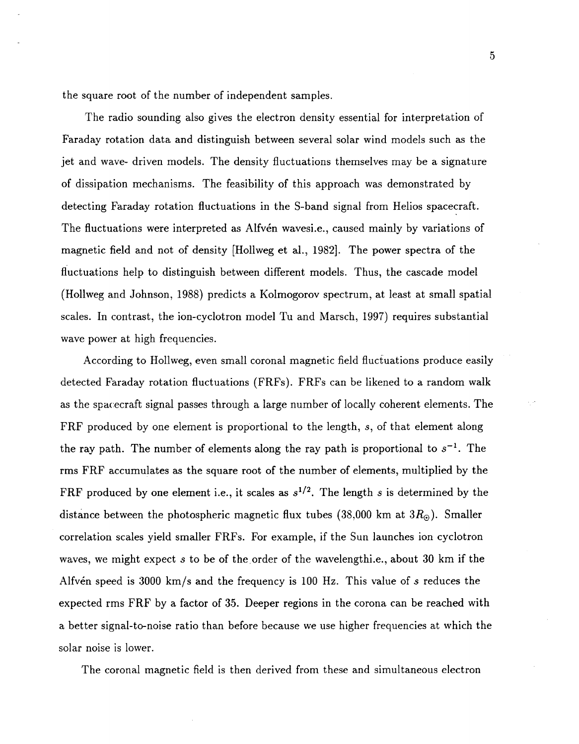the square root of the number of independent samples.

The radio sounding also gives the electron density essential for interpretation of Faraday rotation data and distinguish between several solar wind models such as the jet and wave- driven models. The density fluctuations themselves may be a signature of dissipation mechanisms. The feasibility of this approach was demonstrated by detecting Faraday rotation fluctuations in the S-band signal from Helios spacecraft. The fluctuations were interpreted as Alfvén wavesi.e., caused mainly by variations of magnetic field and not of density [Hollweg et al., 1982]. The power spectra of the fluctuations help to distinguish between different models. Thus, the cascade model (Hollweg and Johnson, 1988) predicts a Kolmogorov spectrum, at least at small spatial scales. In contrast, the ion-cyclotron model Tu and Marsch, 1997) requires substantial wave power at high frequencies.

According to Hollweg, even small coronal magnetic field fluctuations produce easily detected Faraday rotation fluctuations (FRFs). FRFs can be likened to a random walk as the spacecraft signal passes through a large number of locally coherent elements. The FRF produced by one element is proportional to the length, *s,* of that element along the ray path. The number of elements along the ray path is proportional to  $s^{-1}$ . The rms FRF accumulates as the square root of the number of elements, multiplied by the FRF produced by one element i.e., it scales as  $s^{1/2}$ . The length *s* is determined by the distance between the photospheric magnetic flux tubes (3S,OOO km at *3Ra).* Smaller correlation scales yield smaller FRFs. For example, if the Sun launches ion cyclotron waves, we might expect *s* to be of the,order of the wavelengthi.e., about **30** km if the Alfvdn speed is 3000 km/s and the frequency is 100 Hz. This value of *s* reduces the expected rms FRF by a factor of **35.** Deeper regions in the corona can be reached with a better signal-to-noise ratio than before because we use higher frequencies at which the solar noise is lower.

The coronal magnetic field is then derived from these and simultaneous electron

*5*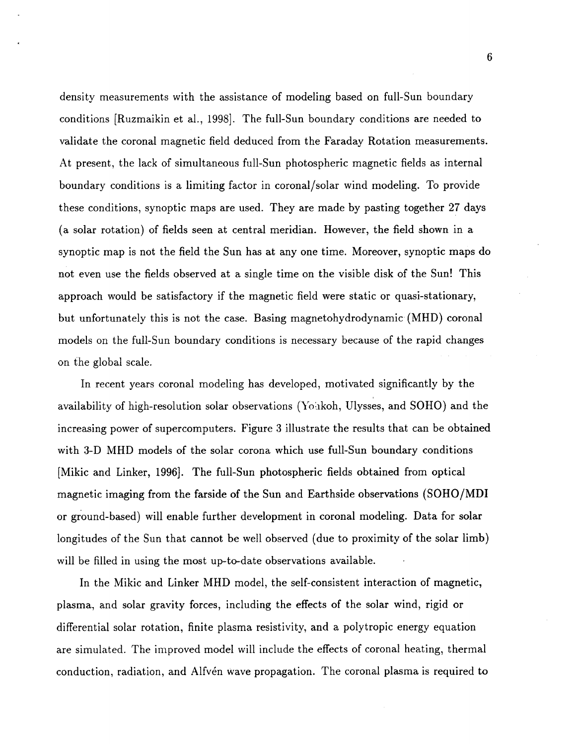density measurements with the assistance of modeling based on full-Sun boundary conditions [Ruzmaikin et al., 1998]. The full-Sun boundary conditions are needed to validate the coronal magnetic field deduced from the Faraday Rotation measurements. At present, the lack of simultaneous full-Sun photospheric magnetic fields as internal boundary conditions is a limiting factor in coronal/solar wind modeling. To provide these conditions, synoptic maps are used. They are made by pasting together **27** days (a solar rotation) of fields seen at central meridian. However, the field shown in **a**  synoptic map is not the field the Sun has at any one time. Moreover, synoptic maps do not even use the fields observed at a single time on the visible disk of the Sun! This approach would be satisfactory if the magnetic field were static or quasi-stationary, but unfortunately this is not the case. Basing magnetohydrodynamic (MHD) coronal models on the full-Sun boundary conditions is necessary because of the rapid changes on the global scale.

In recent years coronal modeling has developed, motivated significantly by the availability of high-resolution solar observations (Yohkoh, Ulysses, and SOHO) and the increasing power of supercomputers. [Figure](#page-10-0) **3** illustrate the results that can be obtained with 3-D MHD models of the solar corona which use full-Sun boundary conditions [Mikic and Linker, 1996]. The full-Sun photospheric fields obtained from optical magnetic imaging from the farside of the Sun and Earthside observations (SOHO/MDI or ground-based) will enable further development in coronal modeling. Data for solar longitudes of the Sun that cannot be well observed (due to proximity of the solar limb) will be filled in using the most up-to-date observations available.

In the Mikic and Linker MHD model, the self-consistent interaction of magnetic, plasma, and solar gravity forces, including the effects of the solar wind, rigid or differential solar rotation, finite plasma resistivity, and a polytropic energy equation are simulated. The improved model will include the effects of coronal heating, thermal conduction, radiation, and Alfvén wave propagation. The coronal plasma is required to

6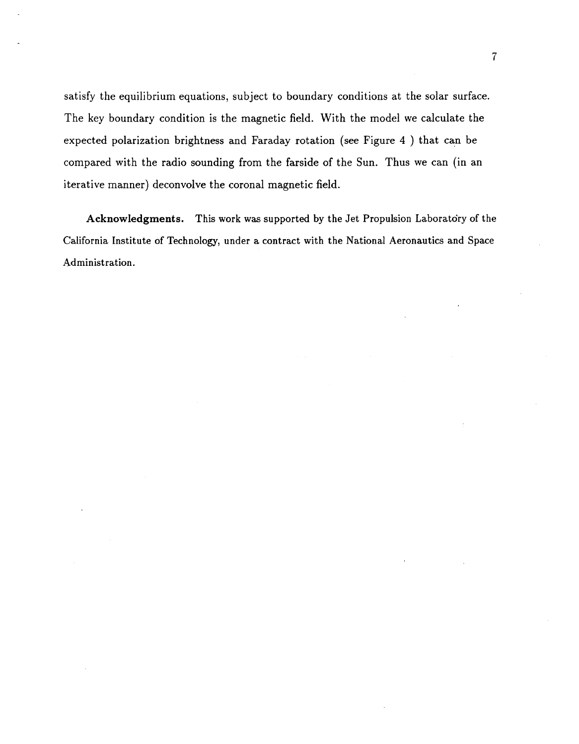satisfy the equilibrium equations, subject to boundary conditions at the solar surface. The key boundary condition is the magnetic field. With the model we calculate the expected polarization brightness and Faraday rotation (see Figure **4** ) that can be compared with the radio sounding from the farside of the Sun. Thus we can (in an iterative manner) deconvolve the coronal magnetic field.

**Acknowledgments.** This **work** was supported by the Jet Propulsion Laboratory of the California Institute of Technology, under a contract with the National Aeronautics and Space Administration.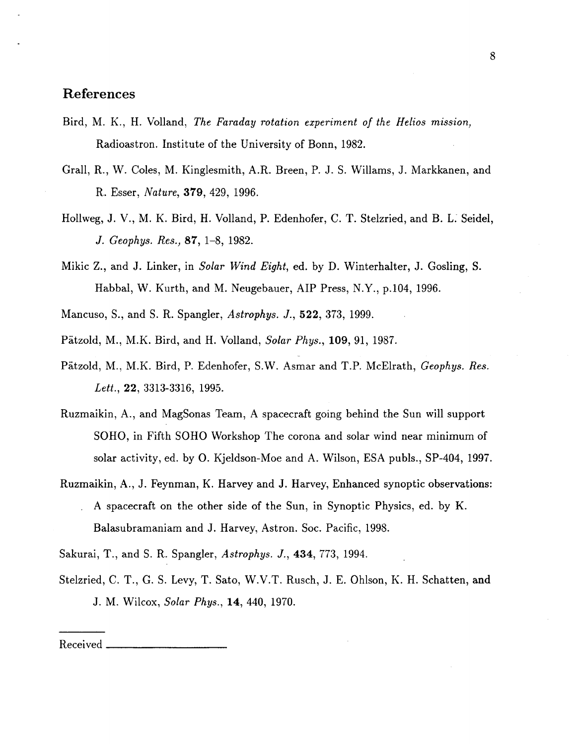## **References**

- Bird, M. K., H. Volland, *The Faraday rotation experiment of the Helios mission,*  Radioastron. Institute of the University of Bonn, 1982.
- Grall, R., W. Coles, M. Kinglesmith, A.R. Breen, P. J. S. Willams, J. Markkanen, and R. Esser, *Nature,* **379,** 429, 1996.
- Hollweg, J. V., M. K. Bird, H. Volland, P. Edenhofer, C. T. Stelzried, and B. L. Seidel, *J. Geophys. Res.,* **87,** 1-8, 1982.
- Mikic Z., and J. Linker, in *Solar Wind Eight,* ed. by D. Winterhalter, J. Gosling, S. Habbal, W. Kurth, and M. Neugebauer, AIP Press, N.Y., p.104, 1996.
- Mancuso, S., and S. R. Spangler, *Astrophys. J.,* **522,** 373, 1999.
- Patzold, M., M.K. Bird, and H. Volland, *Solar Phys.,* **109,** 91, 1987.
- Patzold, M., M.K. Bird, P. Edenhofer, S.W. Asmar and T.P. McElrath, *Geophys. Res. Lett.,* **22,** 3313-3316, 1995.
- Ruzmaikin, A., and MagSonas Team, A spacecraft going behind the Sun will support SOHO, in Fifth SOHO Workshop The corona and solar wind near minimum of solar activity, ed. by 0. Kjeldson-Moe and A. Wilson, ESA publs., SP-404, 1997.
- Ruzmaikin, **4.,** J. Feynman, K. Harvey and J. Harvey, Enhanced synoptic observations: . A spacecraft on the other side of the Sun, in Synoptic Physics, ed. by K. Balasubramaniam and J. Harvey, Astron. Soc. Pacific, 1998.

Sakurai, T., and S. R. Spangler, *Astrophys. J.,* **434,** 773, 1994.

Stelzried, C. T., G. S. Levy, T. Sato, W.V.T. Rusch, J. E. Ohlson, K. H. Schatten, and J. M. Wilcox, *Solar Phys.,* **14,** 440, 1970.

#### Received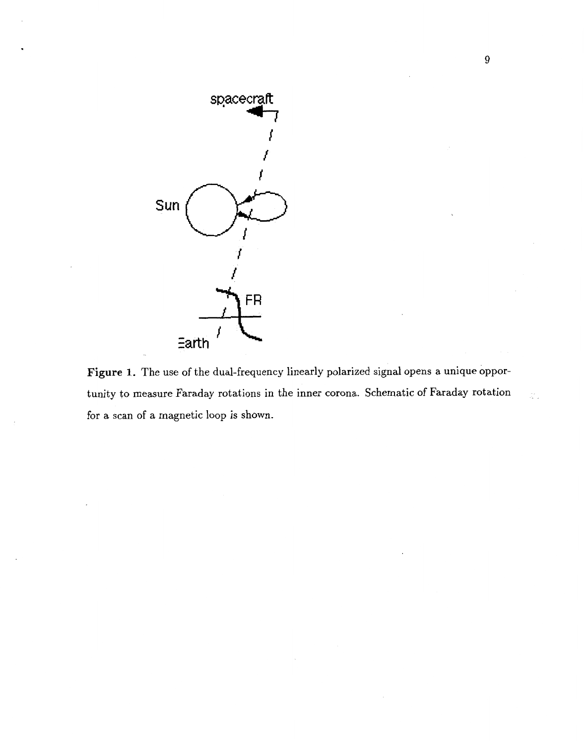

Figure 1. The use of the dual-frequency linearly polarized signal opens a unique opportunity to measure Faraday rotations in the inner corona. Schematic of Faraday rotation for a scan of a magnetic loop is shown.

à,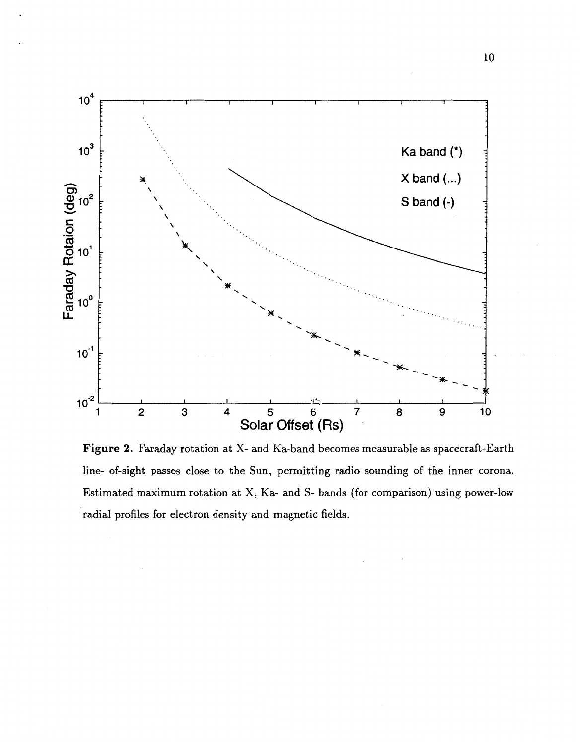

**Figure 2.** Faraday rotation at X- and Ka-band becomes measurable as spacecraft-Earth line- of-sight passes close to the Sun, permitting radio sounding of the inner corona. Estimated maximum rotation at X, Ka- and S- bands (for comparison) using power-low radial profiles for electron density and magnetic fields.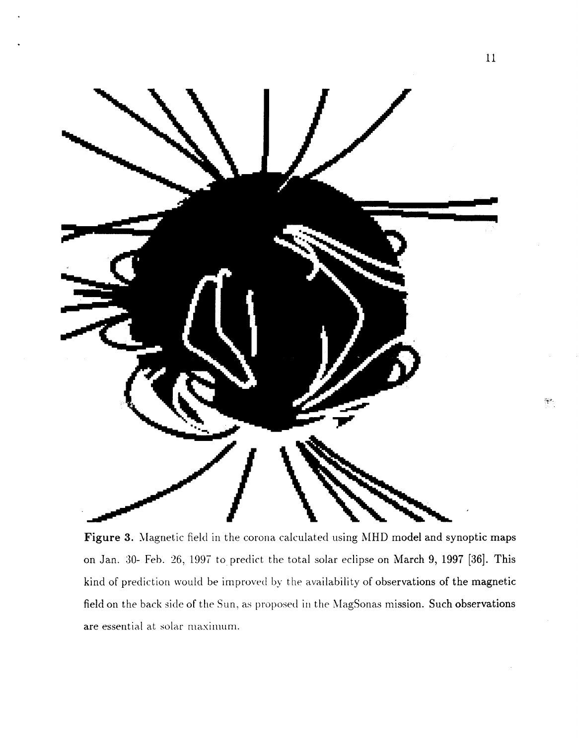<span id="page-10-0"></span>

Figure 3. Magnetic field in the corona calculated using MHD model and synoptic maps on Jan. 30- Feb. 26, 1997 to predict the total solar eclipse on March 9, 1997 [36]. This kind of prediction would be improved by the availability of observations of the magnetic field on the back side of the Sun, as proposed in the MagSonas mission. Such observations are essential at solar maximum.

 $\frac{1}{2} \frac{1}{2} \theta$